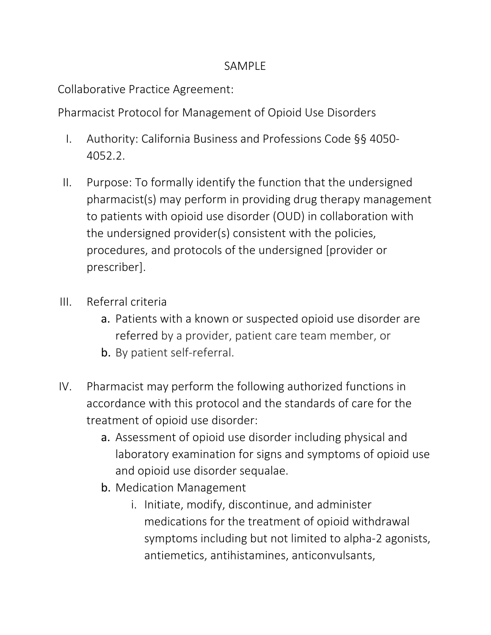## SAMPLE

Collaborative Practice Agreement:

Pharmacist Protocol for Management of Opioid Use Disorders

- I. Authority: California Business and Professions Code §§ 4050- 4052.2.
- to patients with opioid use disorder (OUD) in collaboration with procedures, and protocols of the undersigned [provider or II. Purpose: To formally identify the function that the undersigned pharmacist(s) may perform in providing drug therapy management the undersigned provider(s) consistent with the policies,
- prescriber].<br>III. Referral criteria
	- a. Patients with a known or suspected opioid use disorder are referred by a provider, patient care team member, or
	- b. By patient self-referral.
- IV. Pharmacist may perform the following authorized functions in accordance with this protocol and the standards of care for the treatment of opioid use disorder:
	- laboratory examination for signs and symptoms of opioid use a. Assessment of opioid use disorder including physical and and opioid use disorder sequalae.
	- b. Medication Management
		- i. Initiate, modify, discontinue, and administer medications for the treatment of opioid withdrawal symptoms including but not limited to alpha-2 agonists, antiemetics, antihistamines, anticonvulsants,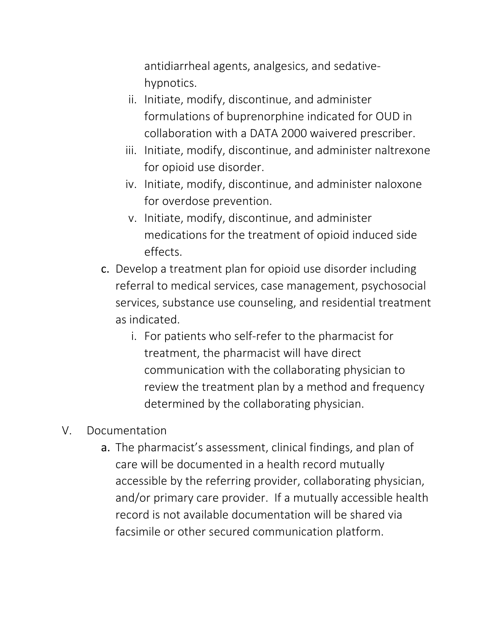antidiarrheal agents, analgesics, and sedativehypnotics.

- formulations of buprenorphine indicated for OUD in collaboration with a DATA 2000 waivered prescriber. ii. Initiate, modify, discontinue, and administer
- iii. Initiate, modify, discontinue, and administer naltrexone for opioid use disorder.
- iv. Initiate, modify, discontinue, and administer naloxone for overdose prevention.
- v. Initiate, modify, discontinue, and administer medications for the treatment of opioid induced side effects.
- c. Develop a treatment plan for opioid use disorder including referral to medical services, case management, psychosocial services, substance use counseling, and residential treatment as indicated.
	- i. For patients who self-refer to the pharmacist for treatment, the pharmacist will have direct review the treatment plan by a method and frequency communication with the collaborating physician to determined by the collaborating physician.
- V. Documentation
	- a. The pharmacist's assessment, clinical findings, and plan of care will be documented in a health record mutually accessible by the referring provider, collaborating physician, and/or primary care provider. If a mutually accessible health record is not available documentation will be shared via facsimile or other secured communication platform.